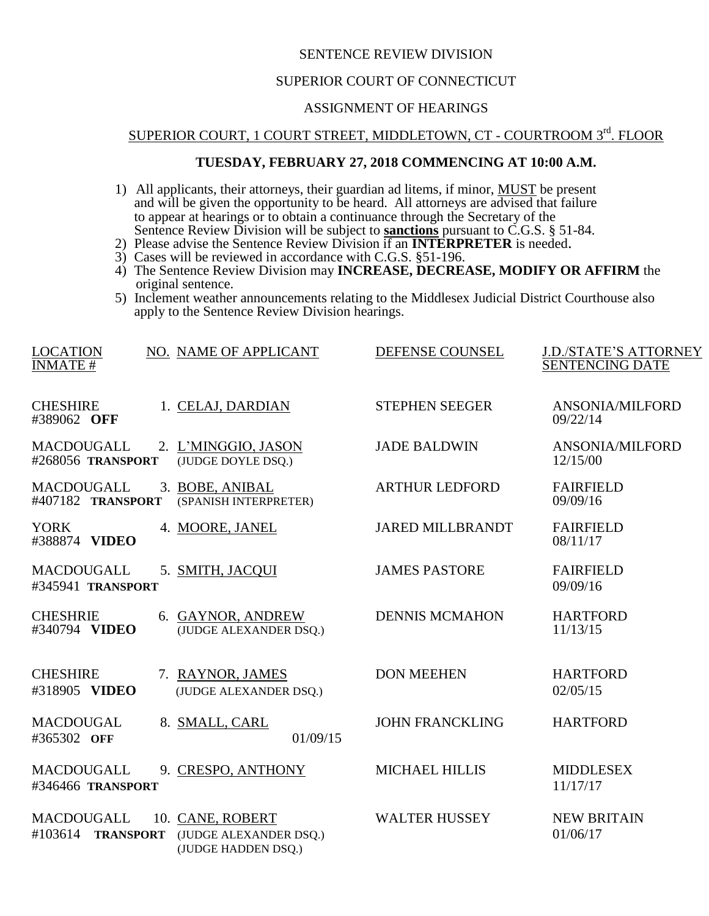## SENTENCE REVIEW DIVISION

#### SUPERIOR COURT OF CONNECTICUT

## ASSIGNMENT OF HEARINGS

# SUPERIOR COURT, 1 COURT STREET, MIDDLETOWN, CT - COURTROOM 3rd. FLOOR

#### **TUESDAY, FEBRUARY 27, 2018 COMMENCING AT 10:00 A.M.**

- 1) All applicants, their attorneys, their guardian ad litems, if minor, **MUST** be present and will be given the opportunity to be heard. All attorneys are advised that failure to appear at hearings or to obtain a continuance through the Secretary of the Sentence Review Division will be subject to **sanctions** pursuant to C.G.S. § 51-84.
- 2) Please advise the Sentence Review Division if an **INTERPRETER** is needed.
- 3) Cases will be reviewed in accordance with C.G.S. §51-196.
- 4) The Sentence Review Division may **INCREASE, DECREASE, MODIFY OR AFFIRM** the original sentence.
- 5) Inclement weather announcements relating to the Middlesex Judicial District Courthouse also apply to the Sentence Review Division hearings.

| <b>LOCATION</b><br><b>INMATE#</b>         | NO. NAME OF APPLICANT                                             | DEFENSE COUNSEL         | <b>J.D./STATE'S ATTORNEY</b><br><b>SENTENCING DATE</b> |
|-------------------------------------------|-------------------------------------------------------------------|-------------------------|--------------------------------------------------------|
| <b>CHESHIRE</b><br>#389062 OFF            | 1. CELAJ, DARDIAN                                                 | <b>STEPHEN SEEGER</b>   | ANSONIA/MILFORD<br>09/22/14                            |
| <b>MACDOUGALL</b><br>#268056 TRANSPORT    | 2. L'MINGGIO, JASON<br>(JUDGE DOYLE DSQ.)                         | <b>JADE BALDWIN</b>     | <b>ANSONIA/MILFORD</b><br>12/15/00                     |
| <b>MACDOUGALL</b><br>#407182 TRANSPORT    | 3. BOBE, ANIBAL<br>(SPANISH INTERPRETER)                          | <b>ARTHUR LEDFORD</b>   | <b>FAIRFIELD</b><br>09/09/16                           |
| <b>YORK</b><br>#388874 VIDEO              | 4. MOORE, JANEL                                                   | <b>JARED MILLBRANDT</b> | <b>FAIRFIELD</b><br>08/11/17                           |
| <b>MACDOUGALL</b><br>#345941 TRANSPORT    | 5. SMITH, JACQUI                                                  | <b>JAMES PASTORE</b>    | <b>FAIRFIELD</b><br>09/09/16                           |
| <b>CHESHRIE</b><br>#340794 VIDEO          | 6. GAYNOR, ANDREW<br>(JUDGE ALEXANDER DSQ.)                       | <b>DENNIS MCMAHON</b>   | <b>HARTFORD</b><br>11/13/15                            |
| <b>CHESHIRE</b><br>#318905 VIDEO          | 7. RAYNOR, JAMES<br>(JUDGE ALEXANDER DSQ.)                        | <b>DON MEEHEN</b>       | <b>HARTFORD</b><br>02/05/15                            |
| <b>MACDOUGAL</b><br>#365302 OFF           | 8. SMALL, CARL<br>01/09/15                                        | <b>JOHN FRANCKLING</b>  | <b>HARTFORD</b>                                        |
| MACDOUGALL<br>#346466 TRANSPORT           | 9. CRESPO, ANTHONY                                                | <b>MICHAEL HILLIS</b>   | <b>MIDDLESEX</b><br>11/17/17                           |
| MACDOUGALL<br>#103614<br><b>TRANSPORT</b> | 10. CANE, ROBERT<br>(JUDGE ALEXANDER DSQ.)<br>(JUDGE HADDEN DSQ.) | <b>WALTER HUSSEY</b>    | <b>NEW BRITAIN</b><br>01/06/17                         |